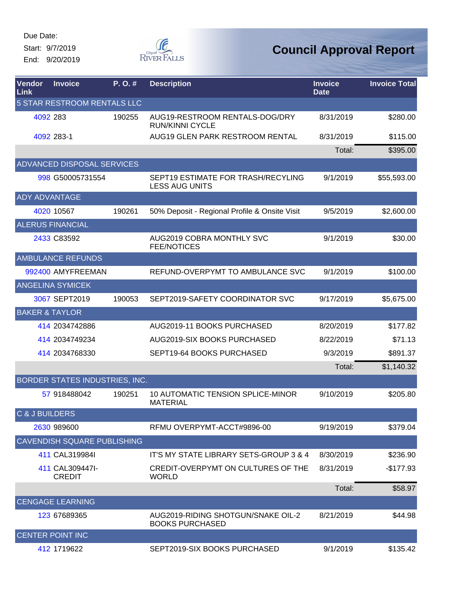Start: 9/7/2019 End: 9/20/2019



| Vendor<br>Link       | <b>Invoice</b>                     | P. O. # | <b>Description</b>                                           | <b>Invoice</b><br><b>Date</b> | <b>Invoice Total</b> |
|----------------------|------------------------------------|---------|--------------------------------------------------------------|-------------------------------|----------------------|
|                      | 5 STAR RESTROOM RENTALS LLC        |         |                                                              |                               |                      |
|                      | 4092 283                           | 190255  | AUG19-RESTROOM RENTALS-DOG/DRY<br><b>RUN/KINNI CYCLE</b>     | 8/31/2019                     | \$280.00             |
|                      | 4092 283-1                         |         | AUG19 GLEN PARK RESTROOM RENTAL                              | 8/31/2019                     | \$115.00             |
|                      |                                    |         |                                                              | Total:                        | \$395.00             |
|                      | ADVANCED DISPOSAL SERVICES         |         |                                                              |                               |                      |
|                      | 998 G50005731554                   |         | SEPT19 ESTIMATE FOR TRASH/RECYLING<br><b>LESS AUG UNITS</b>  | 9/1/2019                      | \$55,593.00          |
| <b>ADY ADVANTAGE</b> |                                    |         |                                                              |                               |                      |
|                      | 4020 10567                         | 190261  | 50% Deposit - Regional Profile & Onsite Visit                | 9/5/2019                      | \$2,600.00           |
|                      | <b>ALERUS FINANCIAL</b>            |         |                                                              |                               |                      |
|                      | 2433 C83592                        |         | AUG2019 COBRA MONTHLY SVC<br><b>FEE/NOTICES</b>              | 9/1/2019                      | \$30.00              |
|                      | <b>AMBULANCE REFUNDS</b>           |         |                                                              |                               |                      |
|                      | 992400 AMYFREEMAN                  |         | REFUND-OVERPYMT TO AMBULANCE SVC                             | 9/1/2019                      | \$100.00             |
|                      | <b>ANGELINA SYMICEK</b>            |         |                                                              |                               |                      |
|                      | 3067 SEPT2019                      | 190053  | SEPT2019-SAFETY COORDINATOR SVC                              | 9/17/2019                     | \$5,675.00           |
|                      | <b>BAKER &amp; TAYLOR</b>          |         |                                                              |                               |                      |
|                      | 414 2034742886                     |         | AUG2019-11 BOOKS PURCHASED                                   | 8/20/2019                     | \$177.82             |
|                      | 414 2034749234                     |         | AUG2019-SIX BOOKS PURCHASED                                  | 8/22/2019                     | \$71.13              |
|                      | 414 2034768330                     |         | SEPT19-64 BOOKS PURCHASED                                    | 9/3/2019                      | \$891.37             |
|                      |                                    |         |                                                              | Total:                        | \$1,140.32           |
|                      | BORDER STATES INDUSTRIES, INC.     |         |                                                              |                               |                      |
|                      | 57 918488042                       | 190251  | 10 AUTOMATIC TENSION SPLICE-MINOR<br><b>MATERIAL</b>         | 9/10/2019                     | \$205.80             |
| C & J BUILDERS       |                                    |         |                                                              |                               |                      |
|                      | 2630 989600                        |         | RFMU OVERPYMT-ACCT#9896-00                                   | 9/19/2019                     | \$379.04             |
|                      | <b>CAVENDISH SQUARE PUBLISHING</b> |         |                                                              |                               |                      |
|                      | 411 CAL319984I                     |         | IT'S MY STATE LIBRARY SETS-GROUP 3 & 4                       | 8/30/2019                     | \$236.90             |
|                      | 411 CAL309447I-<br><b>CREDIT</b>   |         | CREDIT-OVERPYMT ON CULTURES OF THE<br><b>WORLD</b>           | 8/31/2019                     | -\$177.93            |
|                      |                                    |         |                                                              | Total:                        | \$58.97              |
|                      | <b>CENGAGE LEARNING</b>            |         |                                                              |                               |                      |
|                      | 123 67689365                       |         | AUG2019-RIDING SHOTGUN/SNAKE OIL-2<br><b>BOOKS PURCHASED</b> | 8/21/2019                     | \$44.98              |
|                      | <b>CENTER POINT INC</b>            |         |                                                              |                               |                      |
|                      | 412 1719622                        |         | SEPT2019-SIX BOOKS PURCHASED                                 | 9/1/2019                      | \$135.42             |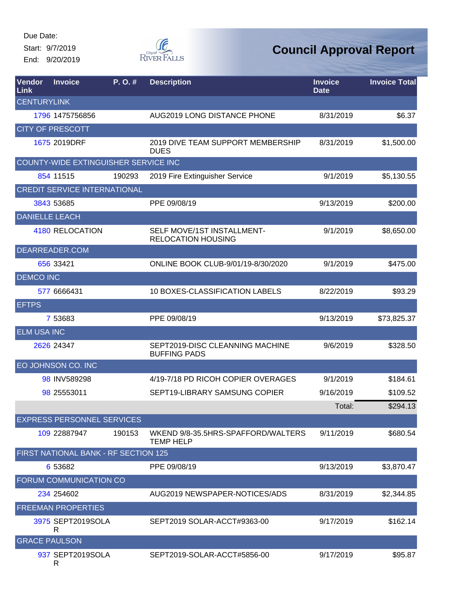Start: 9/7/2019 End: 9/20/2019



| Vendor<br>Link        | <b>Invoice</b>                       | P. O. # | <b>Description</b>                                      | <b>Invoice</b><br><b>Date</b> | <b>Invoice Total</b> |
|-----------------------|--------------------------------------|---------|---------------------------------------------------------|-------------------------------|----------------------|
| <b>CENTURYLINK</b>    |                                      |         |                                                         |                               |                      |
|                       | 1796 1475756856                      |         | AUG2019 LONG DISTANCE PHONE                             | 8/31/2019                     | \$6.37               |
|                       | <b>CITY OF PRESCOTT</b>              |         |                                                         |                               |                      |
|                       | 1675 2019DRF                         |         | 2019 DIVE TEAM SUPPORT MEMBERSHIP<br><b>DUES</b>        | 8/31/2019                     | \$1,500.00           |
|                       | COUNTY-WIDE EXTINGUISHER SERVICE INC |         |                                                         |                               |                      |
|                       | 854 11515                            | 190293  | 2019 Fire Extinguisher Service                          | 9/1/2019                      | \$5,130.55           |
|                       | <b>CREDIT SERVICE INTERNATIONAL</b>  |         |                                                         |                               |                      |
|                       | 3843 53685                           |         | PPE 09/08/19                                            | 9/13/2019                     | \$200.00             |
| <b>DANIELLE LEACH</b> |                                      |         |                                                         |                               |                      |
|                       | 4180 RELOCATION                      |         | SELF MOVE/1ST INSTALLMENT-<br><b>RELOCATION HOUSING</b> | 9/1/2019                      | \$8,650.00           |
|                       | DEARREADER.COM                       |         |                                                         |                               |                      |
|                       | 656 33421                            |         | ONLINE BOOK CLUB-9/01/19-8/30/2020                      | 9/1/2019                      | \$475.00             |
| <b>DEMCO INC</b>      |                                      |         |                                                         |                               |                      |
|                       | 577 6666431                          |         | 10 BOXES-CLASSIFICATION LABELS                          | 8/22/2019                     | \$93.29              |
| <b>EFTPS</b>          |                                      |         |                                                         |                               |                      |
|                       | 7 53683                              |         | PPE 09/08/19                                            | 9/13/2019                     | \$73,825.37          |
| <b>ELM USA INC</b>    |                                      |         |                                                         |                               |                      |
|                       | 2626 24347                           |         | SEPT2019-DISC CLEANNING MACHINE<br><b>BUFFING PADS</b>  | 9/6/2019                      | \$328.50             |
|                       | EO JOHNSON CO. INC                   |         |                                                         |                               |                      |
|                       | 98 INV589298                         |         | 4/19-7/18 PD RICOH COPIER OVERAGES                      | 9/1/2019                      | \$184.61             |
|                       | 98 25553011                          |         | SEPT19-LIBRARY SAMSUNG COPIER                           | 9/16/2019                     | \$109.52             |
|                       |                                      |         |                                                         | Total:                        | \$294.13             |
|                       | <b>EXPRESS PERSONNEL SERVICES</b>    |         |                                                         |                               |                      |
|                       | 109 22887947                         | 190153  | WKEND 9/8-35.5HRS-SPAFFORD/WALTERS<br><b>TEMP HELP</b>  | 9/11/2019                     | \$680.54             |
|                       | FIRST NATIONAL BANK - RF SECTION 125 |         |                                                         |                               |                      |
|                       | 6 53682                              |         | PPE 09/08/19                                            | 9/13/2019                     | \$3,870.47           |
|                       | FORUM COMMUNICATION CO               |         |                                                         |                               |                      |
|                       | 234 254602                           |         | AUG2019 NEWSPAPER-NOTICES/ADS                           | 8/31/2019                     | \$2,344.85           |
|                       | <b>FREEMAN PROPERTIES</b>            |         |                                                         |                               |                      |
|                       | 3975 SEPT2019SOLA<br>R               |         | SEPT2019 SOLAR-ACCT#9363-00                             | 9/17/2019                     | \$162.14             |
|                       | <b>GRACE PAULSON</b>                 |         |                                                         |                               |                      |
|                       | 937 SEPT2019SOLA<br>R                |         | SEPT2019-SOLAR-ACCT#5856-00                             | 9/17/2019                     | \$95.87              |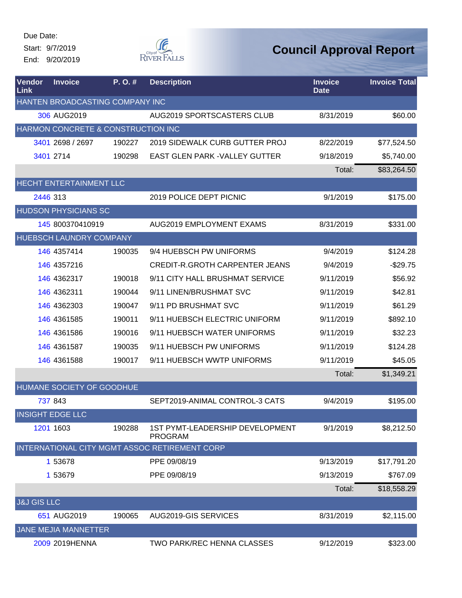Start: 9/7/2019 End: 9/20/2019



| <b>Vendor</b><br>Link  | <b>Invoice</b>                     | P. O. # | <b>Description</b>                                       | <b>Invoice</b><br><b>Date</b> | <b>Invoice Total</b> |
|------------------------|------------------------------------|---------|----------------------------------------------------------|-------------------------------|----------------------|
|                        | HANTEN BROADCASTING COMPANY INC    |         |                                                          |                               |                      |
|                        | 306 AUG2019                        |         | AUG2019 SPORTSCASTERS CLUB                               | 8/31/2019                     | \$60.00              |
|                        | HARMON CONCRETE & CONSTRUCTION INC |         |                                                          |                               |                      |
|                        | 3401 2698 / 2697                   | 190227  | 2019 SIDEWALK CURB GUTTER PROJ                           | 8/22/2019                     | \$77,524.50          |
|                        | 3401 2714                          | 190298  | <b>EAST GLEN PARK - VALLEY GUTTER</b>                    | 9/18/2019                     | \$5,740.00           |
|                        |                                    |         |                                                          | Total:                        | \$83,264.50          |
|                        | HECHT ENTERTAINMENT LLC            |         |                                                          |                               |                      |
|                        | 2446 313                           |         | 2019 POLICE DEPT PICNIC                                  | 9/1/2019                      | \$175.00             |
|                        | <b>HUDSON PHYSICIANS SC</b>        |         |                                                          |                               |                      |
|                        | 145 800370410919                   |         | AUG2019 EMPLOYMENT EXAMS                                 | 8/31/2019                     | \$331.00             |
|                        | <b>HUEBSCH LAUNDRY COMPANY</b>     |         |                                                          |                               |                      |
|                        | 146 4357414                        | 190035  | 9/4 HUEBSCH PW UNIFORMS                                  | 9/4/2019                      | \$124.28             |
|                        | 146 4357216                        |         | <b>CREDIT-R.GROTH CARPENTER JEANS</b>                    | 9/4/2019                      | $-$29.75$            |
|                        | 146 4362317                        | 190018  | 9/11 CITY HALL BRUSHMAT SERVICE                          | 9/11/2019                     | \$56.92              |
|                        | 146 4362311                        | 190044  | 9/11 LINEN/BRUSHMAT SVC                                  | 9/11/2019                     | \$42.81              |
|                        | 146 4362303                        | 190047  | 9/11 PD BRUSHMAT SVC                                     | 9/11/2019                     | \$61.29              |
|                        | 146 4361585                        | 190011  | 9/11 HUEBSCH ELECTRIC UNIFORM                            | 9/11/2019                     | \$892.10             |
|                        | 146 4361586                        | 190016  | 9/11 HUEBSCH WATER UNIFORMS                              | 9/11/2019                     | \$32.23              |
|                        | 146 4361587                        | 190035  | 9/11 HUEBSCH PW UNIFORMS                                 | 9/11/2019                     | \$124.28             |
|                        | 146 4361588                        | 190017  | 9/11 HUEBSCH WWTP UNIFORMS                               | 9/11/2019                     | \$45.05              |
|                        |                                    |         |                                                          | Total:                        | \$1,349.21           |
|                        | HUMANE SOCIETY OF GOODHUE          |         |                                                          |                               |                      |
|                        | 737 843                            |         | SEPT2019-ANIMAL CONTROL-3 CATS                           | 9/4/2019                      | \$195.00             |
|                        | <b>INSIGHT EDGE LLC</b>            |         |                                                          |                               |                      |
|                        | 1201 1603                          | 190288  | <b>1ST PYMT-LEADERSHIP DEVELOPMENT</b><br><b>PROGRAM</b> | 9/1/2019                      | \$8,212.50           |
|                        |                                    |         | INTERNATIONAL CITY MGMT ASSOC RETIREMENT CORP            |                               |                      |
|                        | 1 53678                            |         | PPE 09/08/19                                             | 9/13/2019                     | \$17,791.20          |
|                        | 1 53679                            |         | PPE 09/08/19                                             | 9/13/2019                     | \$767.09             |
|                        |                                    |         |                                                          | Total:                        | \$18,558.29          |
| <b>J&amp;J GIS LLC</b> |                                    |         |                                                          |                               |                      |
|                        | 651 AUG2019                        | 190065  | AUG2019-GIS SERVICES                                     | 8/31/2019                     | \$2,115.00           |
|                        | JANE MEJIA MANNETTER               |         |                                                          |                               |                      |
|                        | 2009 2019HENNA                     |         | <b>TWO PARK/REC HENNA CLASSES</b>                        | 9/12/2019                     | \$323.00             |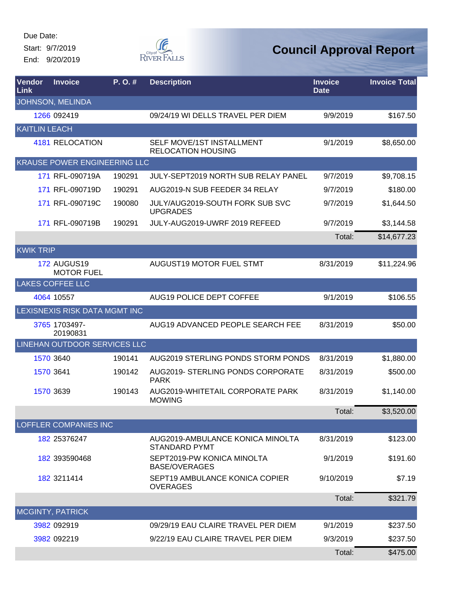Start: 9/7/2019

End: 9/20/2019



| Vendor<br>Link       | <b>Invoice</b>                          | P.O.#  | <b>Description</b>                                       | <b>Invoice</b><br><b>Date</b> | <b>Invoice Total</b> |
|----------------------|-----------------------------------------|--------|----------------------------------------------------------|-------------------------------|----------------------|
|                      | JOHNSON, MELINDA                        |        |                                                          |                               |                      |
|                      | 1266 092419                             |        | 09/24/19 WI DELLS TRAVEL PER DIEM                        | 9/9/2019                      | \$167.50             |
| <b>KAITLIN LEACH</b> |                                         |        |                                                          |                               |                      |
|                      | 4181 RELOCATION                         |        | SELF MOVE/1ST INSTALLMENT<br><b>RELOCATION HOUSING</b>   | 9/1/2019                      | \$8,650.00           |
|                      | <b>KRAUSE POWER ENGINEERING LLC</b>     |        |                                                          |                               |                      |
|                      | 171 RFL-090719A                         | 190291 | <b>JULY-SEPT2019 NORTH SUB RELAY PANEL</b>               | 9/7/2019                      | \$9,708.15           |
|                      | 171 RFL-090719D                         | 190291 | AUG2019-N SUB FEEDER 34 RELAY                            | 9/7/2019                      | \$180.00             |
|                      | 171 RFL-090719C                         | 190080 | JULY/AUG2019-SOUTH FORK SUB SVC<br><b>UPGRADES</b>       | 9/7/2019                      | \$1,644.50           |
|                      | 171 RFL-090719B                         | 190291 | JULY-AUG2019-UWRF 2019 REFEED                            | 9/7/2019                      | \$3,144.58           |
|                      |                                         |        |                                                          | Total:                        | \$14,677.23          |
| <b>KWIK TRIP</b>     |                                         |        |                                                          |                               |                      |
|                      | <b>172 AUGUS19</b><br><b>MOTOR FUEL</b> |        | <b>AUGUST19 MOTOR FUEL STMT</b>                          | 8/31/2019                     | \$11,224.96          |
|                      | <b>LAKES COFFEE LLC</b>                 |        |                                                          |                               |                      |
|                      | 4064 10557                              |        | AUG19 POLICE DEPT COFFEE                                 | 9/1/2019                      | \$106.55             |
|                      | LEXISNEXIS RISK DATA MGMT INC           |        |                                                          |                               |                      |
|                      | 3765 1703497-<br>20190831               |        | AUG19 ADVANCED PEOPLE SEARCH FEE                         | 8/31/2019                     | \$50.00              |
|                      | <b>LINEHAN OUTDOOR SERVICES LLC</b>     |        |                                                          |                               |                      |
|                      | 1570 3640                               | 190141 | AUG2019 STERLING PONDS STORM PONDS                       | 8/31/2019                     | \$1,880.00           |
|                      | 1570 3641                               | 190142 | AUG2019- STERLING PONDS CORPORATE<br><b>PARK</b>         | 8/31/2019                     | \$500.00             |
|                      | 1570 3639                               | 190143 | AUG2019-WHITETAIL CORPORATE PARK<br><b>MOWING</b>        | 8/31/2019                     | \$1,140.00           |
|                      |                                         |        |                                                          | Total:                        | \$3,520.00           |
|                      | <b>LOFFLER COMPANIES INC</b>            |        |                                                          |                               |                      |
|                      | 182 25376247                            |        | AUG2019-AMBULANCE KONICA MINOLTA<br><b>STANDARD PYMT</b> | 8/31/2019                     | \$123.00             |
|                      | 182 393590468                           |        | SEPT2019-PW KONICA MINOLTA<br><b>BASE/OVERAGES</b>       | 9/1/2019                      | \$191.60             |
|                      | 182 3211414                             |        | SEPT19 AMBULANCE KONICA COPIER<br><b>OVERAGES</b>        | 9/10/2019                     | \$7.19               |
|                      |                                         |        |                                                          | Total:                        | \$321.79             |
|                      | MCGINTY, PATRICK                        |        |                                                          |                               |                      |
|                      | 3982 092919                             |        | 09/29/19 EAU CLAIRE TRAVEL PER DIEM                      | 9/1/2019                      | \$237.50             |
|                      | 3982 092219                             |        | 9/22/19 EAU CLAIRE TRAVEL PER DIEM                       | 9/3/2019                      | \$237.50             |
|                      |                                         |        |                                                          | Total:                        | \$475.00             |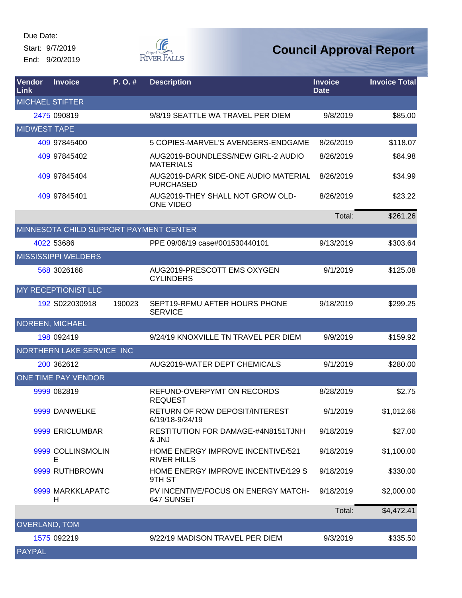Start: 9/7/2019 End: 9/20/2019



| <b>Vendor</b><br>Link  | <b>Invoice</b>                         | $P. O.$ # | <b>Description</b>                                       | <b>Invoice</b><br><b>Date</b> | <b>Invoice Total</b> |
|------------------------|----------------------------------------|-----------|----------------------------------------------------------|-------------------------------|----------------------|
| <b>MICHAEL STIFTER</b> |                                        |           |                                                          |                               |                      |
|                        | 2475 090819                            |           | 9/8/19 SEATTLE WA TRAVEL PER DIEM                        | 9/8/2019                      | \$85.00              |
| <b>MIDWEST TAPE</b>    |                                        |           |                                                          |                               |                      |
|                        | 409 97845400                           |           | 5 COPIES-MARVEL'S AVENGERS-ENDGAME                       | 8/26/2019                     | \$118.07             |
|                        | 409 97845402                           |           | AUG2019-BOUNDLESS/NEW GIRL-2 AUDIO<br><b>MATERIALS</b>   | 8/26/2019                     | \$84.98              |
|                        | 409 97845404                           |           | AUG2019-DARK SIDE-ONE AUDIO MATERIAL<br><b>PURCHASED</b> | 8/26/2019                     | \$34.99              |
|                        | 409 97845401                           |           | AUG2019-THEY SHALL NOT GROW OLD-<br><b>ONE VIDEO</b>     | 8/26/2019                     | \$23.22              |
|                        |                                        |           |                                                          | Total:                        | \$261.26             |
|                        | MINNESOTA CHILD SUPPORT PAYMENT CENTER |           |                                                          |                               |                      |
|                        | 4022 53686                             |           | PPE 09/08/19 case#001530440101                           | 9/13/2019                     | \$303.64             |
|                        | <b>MISSISSIPPI WELDERS</b>             |           |                                                          |                               |                      |
|                        | 568 3026168                            |           | AUG2019-PRESCOTT EMS OXYGEN<br><b>CYLINDERS</b>          | 9/1/2019                      | \$125.08             |
|                        | MY RECEPTIONIST LLC                    |           |                                                          |                               |                      |
|                        | 192 S022030918                         | 190023    | SEPT19-RFMU AFTER HOURS PHONE<br><b>SERVICE</b>          | 9/18/2019                     | \$299.25             |
|                        | NOREEN, MICHAEL                        |           |                                                          |                               |                      |
|                        | 198 092419                             |           | 9/24/19 KNOXVILLE TN TRAVEL PER DIEM                     | 9/9/2019                      | \$159.92             |
|                        | NORTHERN LAKE SERVICE INC              |           |                                                          |                               |                      |
|                        | 200 362612                             |           | AUG2019-WATER DEPT CHEMICALS                             | 9/1/2019                      | \$280.00             |
|                        | ONE TIME PAY VENDOR                    |           |                                                          |                               |                      |
|                        | 9999 082819                            |           | REFUND-OVERPYMT ON RECORDS<br><b>REQUEST</b>             | 8/28/2019                     | \$2.75               |
|                        | 9999 DANWELKE                          |           | RETURN OF ROW DEPOSIT/INTEREST<br>6/19/18-9/24/19        | 9/1/2019                      | \$1,012.66           |
|                        | 9999 ERICLUMBAR                        |           | RESTITUTION FOR DAMAGE-#4N8151TJNH<br>& JNJ              | 9/18/2019                     | \$27.00              |
|                        | 9999 COLLINSMOLIN<br>Е                 |           | HOME ENERGY IMPROVE INCENTIVE/521<br><b>RIVER HILLS</b>  | 9/18/2019                     | \$1,100.00           |
|                        | 9999 RUTHBROWN                         |           | HOME ENERGY IMPROVE INCENTIVE/129 S<br>9TH ST            | 9/18/2019                     | \$330.00             |
|                        | 9999 MARKKLAPATC<br>н                  |           | PV INCENTIVE/FOCUS ON ENERGY MATCH-<br>647 SUNSET        | 9/18/2019                     | \$2,000.00           |
|                        |                                        |           |                                                          | Total:                        | \$4,472.41           |
| <b>OVERLAND, TOM</b>   |                                        |           |                                                          |                               |                      |
|                        | 1575 092219                            |           | 9/22/19 MADISON TRAVEL PER DIEM                          | 9/3/2019                      | \$335.50             |
| <b>PAYPAL</b>          |                                        |           |                                                          |                               |                      |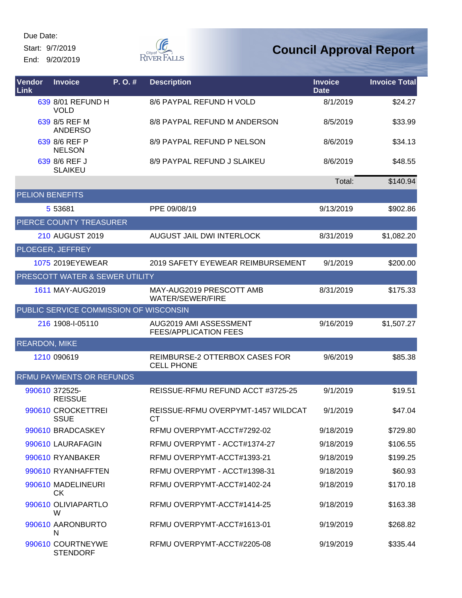Start: 9/7/2019

End: 9/20/2019



| Vendor<br>Link         | <b>Invoice</b>                         | P.O.# | <b>Description</b>                                     | <b>Invoice</b><br><b>Date</b> | <b>Invoice Total</b> |
|------------------------|----------------------------------------|-------|--------------------------------------------------------|-------------------------------|----------------------|
|                        | 639 8/01 REFUND H<br><b>VOLD</b>       |       | 8/6 PAYPAL REFUND H VOLD                               | 8/1/2019                      | \$24.27              |
|                        | 639 8/5 REF M<br><b>ANDERSO</b>        |       | 8/8 PAYPAL REFUND M ANDERSON                           | 8/5/2019                      | \$33.99              |
|                        | 639 8/6 REF P<br><b>NELSON</b>         |       | 8/9 PAYPAL REFUND P NELSON                             | 8/6/2019                      | \$34.13              |
|                        | 639 8/6 REF J<br><b>SLAIKEU</b>        |       | 8/9 PAYPAL REFUND J SLAIKEU                            | 8/6/2019                      | \$48.55              |
|                        |                                        |       |                                                        | Total:                        | \$140.94             |
| <b>PELION BENEFITS</b> |                                        |       |                                                        |                               |                      |
|                        | 5 53681                                |       | PPE 09/08/19                                           | 9/13/2019                     | \$902.86             |
|                        | PIERCE COUNTY TREASURER                |       |                                                        |                               |                      |
|                        | 210 AUGUST 2019                        |       | AUGUST JAIL DWI INTERLOCK                              | 8/31/2019                     | \$1,082.20           |
|                        | PLOEGER, JEFFREY                       |       |                                                        |                               |                      |
|                        | 1075 2019EYEWEAR                       |       | 2019 SAFETY EYEWEAR REIMBURSEMENT                      | 9/1/2019                      | \$200.00             |
|                        | PRESCOTT WATER & SEWER UTILITY         |       |                                                        |                               |                      |
|                        | 1611 MAY-AUG2019                       |       | MAY-AUG2019 PRESCOTT AMB<br>WATER/SEWER/FIRE           | 8/31/2019                     | \$175.33             |
|                        | PUBLIC SERVICE COMMISSION OF WISCONSIN |       |                                                        |                               |                      |
|                        | 216 1908-I-05110                       |       | AUG2019 AMI ASSESSMENT<br><b>FEES/APPLICATION FEES</b> | 9/16/2019                     | \$1,507.27           |
| <b>REARDON, MIKE</b>   |                                        |       |                                                        |                               |                      |
|                        | 1210 090619                            |       | REIMBURSE-2 OTTERBOX CASES FOR<br><b>CELL PHONE</b>    | 9/6/2019                      | \$85.38              |
|                        | RFMU PAYMENTS OR REFUNDS               |       |                                                        |                               |                      |
|                        | 990610 372525-<br><b>REISSUE</b>       |       | REISSUE-RFMU REFUND ACCT #3725-25                      | 9/1/2019                      | \$19.51              |
|                        | 990610 CROCKETTREI<br><b>SSUE</b>      |       | REISSUE-RFMU OVERPYMT-1457 WILDCAT<br>CТ               | 9/1/2019                      | \$47.04              |
|                        | 990610 BRADCASKEY                      |       | RFMU OVERPYMT-ACCT#7292-02                             | 9/18/2019                     | \$729.80             |
|                        | 990610 LAURAFAGIN                      |       | RFMU OVERPYMT - ACCT#1374-27                           | 9/18/2019                     | \$106.55             |
|                        | 990610 RYANBAKER                       |       | RFMU OVERPYMT-ACCT#1393-21                             | 9/18/2019                     | \$199.25             |
|                        | 990610 RYANHAFFTEN                     |       | RFMU OVERPYMT - ACCT#1398-31                           | 9/18/2019                     | \$60.93              |
|                        | 990610 MADELINEURI<br><b>CK</b>        |       | RFMU OVERPYMT-ACCT#1402-24                             | 9/18/2019                     | \$170.18             |
|                        | 990610 OLIVIAPARTLO<br>W               |       | RFMU OVERPYMT-ACCT#1414-25                             | 9/18/2019                     | \$163.38             |
|                        | 990610 AARONBURTO<br>N                 |       | RFMU OVERPYMT-ACCT#1613-01                             | 9/19/2019                     | \$268.82             |
|                        | 990610 COURTNEYWE<br><b>STENDORF</b>   |       | RFMU OVERPYMT-ACCT#2205-08                             | 9/19/2019                     | \$335.44             |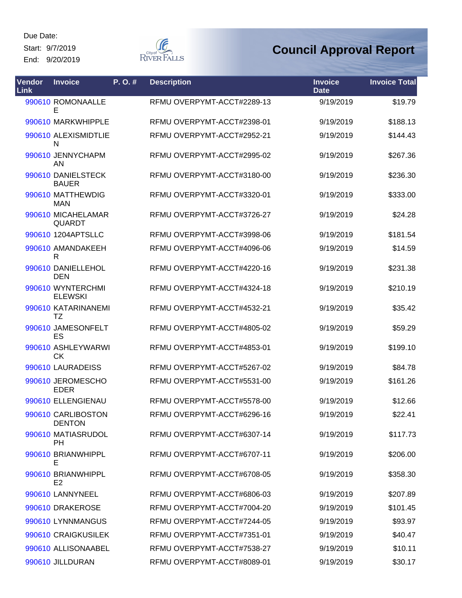Start: 9/7/2019

End: 9/20/2019



| Vendor<br><b>Link</b> | <b>Invoice</b>                       | P. O. # | <b>Description</b>         | <b>Invoice</b><br><b>Date</b> | <b>Invoice Total</b> |
|-----------------------|--------------------------------------|---------|----------------------------|-------------------------------|----------------------|
|                       | 990610 ROMONAALLE<br>E               |         | RFMU OVERPYMT-ACCT#2289-13 | 9/19/2019                     | \$19.79              |
|                       | 990610 MARKWHIPPLE                   |         | RFMU OVERPYMT-ACCT#2398-01 | 9/19/2019                     | \$188.13             |
|                       | 990610 ALEXISMIDTLIE<br>N            |         | RFMU OVERPYMT-ACCT#2952-21 | 9/19/2019                     | \$144.43             |
|                       | 990610 JENNYCHAPM<br>AN              |         | RFMU OVERPYMT-ACCT#2995-02 | 9/19/2019                     | \$267.36             |
|                       | 990610 DANIELSTECK<br><b>BAUER</b>   |         | RFMU OVERPYMT-ACCT#3180-00 | 9/19/2019                     | \$236.30             |
|                       | 990610 MATTHEWDIG<br><b>MAN</b>      |         | RFMU OVERPYMT-ACCT#3320-01 | 9/19/2019                     | \$333.00             |
|                       | 990610 MICAHELAMAR<br>QUARDT         |         | RFMU OVERPYMT-ACCT#3726-27 | 9/19/2019                     | \$24.28              |
|                       | 990610 1204APTSLLC                   |         | RFMU OVERPYMT-ACCT#3998-06 | 9/19/2019                     | \$181.54             |
|                       | 990610 AMANDAKEEH<br>R               |         | RFMU OVERPYMT-ACCT#4096-06 | 9/19/2019                     | \$14.59              |
|                       | 990610 DANIELLEHOL<br><b>DEN</b>     |         | RFMU OVERPYMT-ACCT#4220-16 | 9/19/2019                     | \$231.38             |
|                       | 990610 WYNTERCHMI<br><b>ELEWSKI</b>  |         | RFMU OVERPYMT-ACCT#4324-18 | 9/19/2019                     | \$210.19             |
|                       | 990610 KATARINANEMI<br>TZ            |         | RFMU OVERPYMT-ACCT#4532-21 | 9/19/2019                     | \$35.42              |
|                       | 990610 JAMESONFELT<br>ES             |         | RFMU OVERPYMT-ACCT#4805-02 | 9/19/2019                     | \$59.29              |
|                       | 990610 ASHLEYWARWI<br><b>CK</b>      |         | RFMU OVERPYMT-ACCT#4853-01 | 9/19/2019                     | \$199.10             |
|                       | 990610 LAURADEISS                    |         | RFMU OVERPYMT-ACCT#5267-02 | 9/19/2019                     | \$84.78              |
|                       | 990610 JEROMESCHO<br><b>EDER</b>     |         | RFMU OVERPYMT-ACCT#5531-00 | 9/19/2019                     | \$161.26             |
|                       | 990610 ELLENGIENAU                   |         | RFMU OVERPYMT-ACCT#5578-00 | 9/19/2019                     | \$12.66              |
|                       | 990610 CARLIBOSTON<br><b>DENTON</b>  |         | RFMU OVERPYMT-ACCT#6296-16 | 9/19/2019                     | \$22.41              |
|                       | 990610 MATIASRUDOL<br><b>PH</b>      |         | RFMU OVERPYMT-ACCT#6307-14 | 9/19/2019                     | \$117.73             |
|                       | 990610 BRIANWHIPPL<br>Е              |         | RFMU OVERPYMT-ACCT#6707-11 | 9/19/2019                     | \$206.00             |
|                       | 990610 BRIANWHIPPL<br>E <sub>2</sub> |         | RFMU OVERPYMT-ACCT#6708-05 | 9/19/2019                     | \$358.30             |
|                       | 990610 LANNYNEEL                     |         | RFMU OVERPYMT-ACCT#6806-03 | 9/19/2019                     | \$207.89             |
|                       | 990610 DRAKEROSE                     |         | RFMU OVERPYMT-ACCT#7004-20 | 9/19/2019                     | \$101.45             |
|                       | 990610 LYNNMANGUS                    |         | RFMU OVERPYMT-ACCT#7244-05 | 9/19/2019                     | \$93.97              |
|                       | 990610 CRAIGKUSILEK                  |         | RFMU OVERPYMT-ACCT#7351-01 | 9/19/2019                     | \$40.47              |
|                       | 990610 ALLISONAABEL                  |         | RFMU OVERPYMT-ACCT#7538-27 | 9/19/2019                     | \$10.11              |
|                       | 990610 JILLDURAN                     |         | RFMU OVERPYMT-ACCT#8089-01 | 9/19/2019                     | \$30.17              |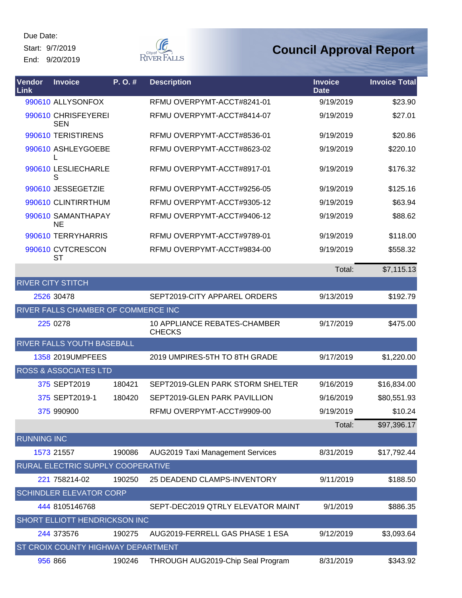Start: 9/7/2019 End: 9/20/2019



| Vendor<br><b>Link</b> | <b>Invoice</b>                      | P.O.#  | <b>Description</b>                            | <b>Invoice</b><br><b>Date</b> | <b>Invoice Total</b> |
|-----------------------|-------------------------------------|--------|-----------------------------------------------|-------------------------------|----------------------|
|                       | 990610 ALLYSONFOX                   |        | RFMU OVERPYMT-ACCT#8241-01                    | 9/19/2019                     | \$23.90              |
|                       | 990610 CHRISFEYEREI<br><b>SEN</b>   |        | RFMU OVERPYMT-ACCT#8414-07                    | 9/19/2019                     | \$27.01              |
|                       | 990610 TERISTIRENS                  |        | RFMU OVERPYMT-ACCT#8536-01                    | 9/19/2019                     | \$20.86              |
|                       | 990610 ASHLEYGOEBE                  |        | RFMU OVERPYMT-ACCT#8623-02                    | 9/19/2019                     | \$220.10             |
|                       | 990610 LESLIECHARLE<br>S            |        | RFMU OVERPYMT-ACCT#8917-01                    | 9/19/2019                     | \$176.32             |
|                       | 990610 JESSEGETZIE                  |        | RFMU OVERPYMT-ACCT#9256-05                    | 9/19/2019                     | \$125.16             |
|                       | 990610 CLINTIRRTHUM                 |        | RFMU OVERPYMT-ACCT#9305-12                    | 9/19/2019                     | \$63.94              |
|                       | 990610 SAMANTHAPAY<br><b>NE</b>     |        | RFMU OVERPYMT-ACCT#9406-12                    | 9/19/2019                     | \$88.62              |
|                       | 990610 TERRYHARRIS                  |        | RFMU OVERPYMT-ACCT#9789-01                    | 9/19/2019                     | \$118.00             |
|                       | 990610 CVTCRESCON<br><b>ST</b>      |        | RFMU OVERPYMT-ACCT#9834-00                    | 9/19/2019                     | \$558.32             |
|                       |                                     |        |                                               | Total:                        | \$7,115.13           |
|                       | <b>RIVER CITY STITCH</b>            |        |                                               |                               |                      |
|                       | 2526 30478                          |        | SEPT2019-CITY APPAREL ORDERS                  | 9/13/2019                     | \$192.79             |
|                       | RIVER FALLS CHAMBER OF COMMERCE INC |        |                                               |                               |                      |
|                       | 225 0278                            |        | 10 APPLIANCE REBATES-CHAMBER<br><b>CHECKS</b> | 9/17/2019                     | \$475.00             |
|                       | <b>RIVER FALLS YOUTH BASEBALL</b>   |        |                                               |                               |                      |
|                       | 1358 2019UMPFEES                    |        | 2019 UMPIRES-5TH TO 8TH GRADE                 | 9/17/2019                     | \$1,220.00           |
|                       | <b>ROSS &amp; ASSOCIATES LTD</b>    |        |                                               |                               |                      |
|                       | 375 SEPT2019                        | 180421 | SEPT2019-GLEN PARK STORM SHELTER              | 9/16/2019                     | \$16,834.00          |
|                       | 375 SEPT2019-1                      | 180420 | SEPT2019-GLEN PARK PAVILLION                  | 9/16/2019                     | \$80,551.93          |
|                       | 375 990900                          |        | RFMU OVERPYMT-ACCT#9909-00                    | 9/19/2019                     | \$10.24              |
|                       |                                     |        |                                               | Total:                        | \$97,396.17          |
| <b>RUNNING INC</b>    |                                     |        |                                               |                               |                      |
|                       | 1573 21557                          | 190086 | <b>AUG2019 Taxi Management Services</b>       | 8/31/2019                     | \$17,792.44          |
|                       | RURAL ELECTRIC SUPPLY COOPERATIVE   |        |                                               |                               |                      |
|                       | 221 758214-02                       | 190250 | 25 DEADEND CLAMPS-INVENTORY                   | 9/11/2019                     | \$188.50             |
|                       | <b>SCHINDLER ELEVATOR CORP</b>      |        |                                               |                               |                      |
|                       | 444 8105146768                      |        | SEPT-DEC2019 QTRLY ELEVATOR MAINT             | 9/1/2019                      | \$886.35             |
|                       | SHORT ELLIOTT HENDRICKSON INC       |        |                                               |                               |                      |
|                       | 244 373576                          | 190275 | AUG2019-FERRELL GAS PHASE 1 ESA               | 9/12/2019                     | \$3,093.64           |
|                       | ST CROIX COUNTY HIGHWAY DEPARTMENT  |        |                                               |                               |                      |
|                       | 956 866                             | 190246 | THROUGH AUG2019-Chip Seal Program             | 8/31/2019                     | \$343.92             |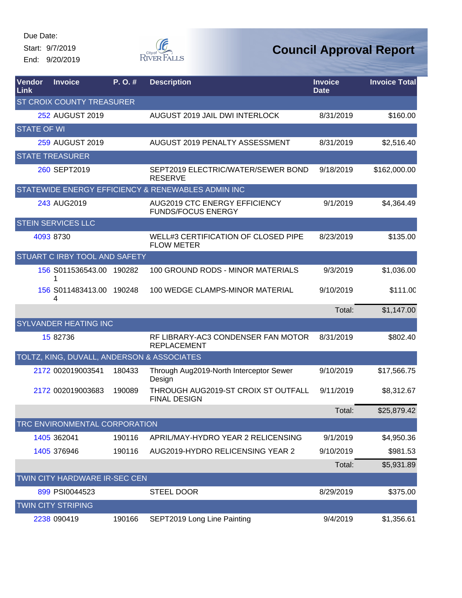Start: 9/7/2019 End: 9/20/2019



| Vendor<br>Link     | <b>Invoice</b>                             | P.O.#  | <b>Description</b>                                                | <b>Invoice</b><br><b>Date</b> | <b>Invoice Total</b> |
|--------------------|--------------------------------------------|--------|-------------------------------------------------------------------|-------------------------------|----------------------|
|                    | ST CROIX COUNTY TREASURER                  |        |                                                                   |                               |                      |
|                    | 252 AUGUST 2019                            |        | AUGUST 2019 JAIL DWI INTERLOCK                                    | 8/31/2019                     | \$160.00             |
| <b>STATE OF WI</b> |                                            |        |                                                                   |                               |                      |
|                    | 259 AUGUST 2019                            |        | AUGUST 2019 PENALTY ASSESSMENT                                    | 8/31/2019                     | \$2,516.40           |
|                    | <b>STATE TREASURER</b>                     |        |                                                                   |                               |                      |
|                    | 260 SEPT2019                               |        | SEPT2019 ELECTRIC/WATER/SEWER BOND<br><b>RESERVE</b>              | 9/18/2019                     | \$162,000.00         |
|                    |                                            |        | STATEWIDE ENERGY EFFICIENCY & RENEWABLES ADMIN INC                |                               |                      |
|                    | 243 AUG2019                                |        | <b>AUG2019 CTC ENERGY EFFICIENCY</b><br><b>FUNDS/FOCUS ENERGY</b> | 9/1/2019                      | \$4,364.49           |
|                    | <b>STEIN SERVICES LLC</b>                  |        |                                                                   |                               |                      |
|                    | 4093 8730                                  |        | <b>WELL#3 CERTIFICATION OF CLOSED PIPE</b><br><b>FLOW METER</b>   | 8/23/2019                     | \$135.00             |
|                    | <b>STUART C IRBY TOOL AND SAFETY</b>       |        |                                                                   |                               |                      |
|                    | 156 S011536543.00 190282                   |        | 100 GROUND RODS - MINOR MATERIALS                                 | 9/3/2019                      | \$1,036.00           |
|                    | 156 S011483413.00 190248<br>4              |        | 100 WEDGE CLAMPS-MINOR MATERIAL                                   | 9/10/2019                     | \$111.00             |
|                    |                                            |        |                                                                   | Total:                        | \$1,147.00           |
|                    | <b>SYLVANDER HEATING INC</b>               |        |                                                                   |                               |                      |
|                    | 15 82736                                   |        | RF LIBRARY-AC3 CONDENSER FAN MOTOR<br><b>REPLACEMENT</b>          | 8/31/2019                     | \$802.40             |
|                    | TOLTZ, KING, DUVALL, ANDERSON & ASSOCIATES |        |                                                                   |                               |                      |
|                    | 2172 002019003541                          | 180433 | Through Aug2019-North Interceptor Sewer<br>Design                 | 9/10/2019                     | \$17,566.75          |
|                    | 2172 002019003683                          | 190089 | THROUGH AUG2019-ST CROIX ST OUTFALL<br><b>FINAL DESIGN</b>        | 9/11/2019                     | \$8,312.67           |
|                    |                                            |        |                                                                   | Total:                        | \$25,879.42          |
|                    | TRC ENVIRONMENTAL CORPORATION              |        |                                                                   |                               |                      |
|                    | 1405 362041                                | 190116 | APRIL/MAY-HYDRO YEAR 2 RELICENSING                                | 9/1/2019                      | \$4,950.36           |
|                    | 1405 376946                                | 190116 | AUG2019-HYDRO RELICENSING YEAR 2                                  | 9/10/2019                     | \$981.53             |
|                    |                                            |        |                                                                   | Total:                        | \$5,931.89           |
|                    | TWIN CITY HARDWARE IR-SEC CEN              |        |                                                                   |                               |                      |
|                    | 899 PSI0044523                             |        | <b>STEEL DOOR</b>                                                 | 8/29/2019                     | \$375.00             |
|                    | <b>TWIN CITY STRIPING</b>                  |        |                                                                   |                               |                      |
|                    | 2238 090419                                | 190166 | SEPT2019 Long Line Painting                                       | 9/4/2019                      | \$1,356.61           |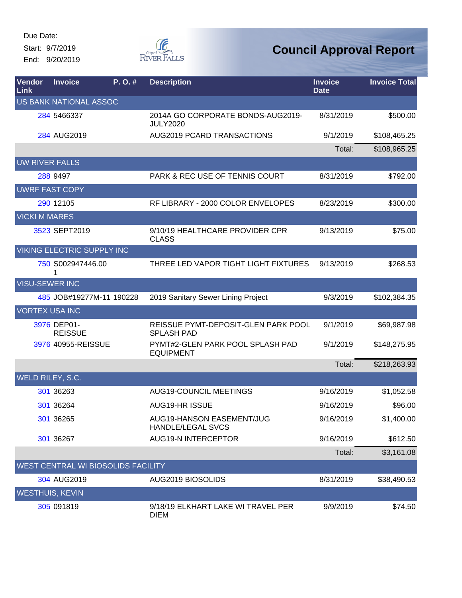Due Date: Start: 9/7/2019

End: 9/20/2019



| <b>Vendor</b><br>Link  | <b>Invoice</b>                | P. O. #                            | <b>Description</b>                                       | <b>Invoice</b><br><b>Date</b> | <b>Invoice Total</b> |
|------------------------|-------------------------------|------------------------------------|----------------------------------------------------------|-------------------------------|----------------------|
|                        | <b>US BANK NATIONAL ASSOC</b> |                                    |                                                          |                               |                      |
|                        | 284 5466337                   |                                    | 2014A GO CORPORATE BONDS-AUG2019-<br><b>JULY2020</b>     | 8/31/2019                     | \$500.00             |
|                        | 284 AUG2019                   |                                    | AUG2019 PCARD TRANSACTIONS                               | 9/1/2019                      | \$108,465.25         |
|                        |                               |                                    |                                                          | Total:                        | \$108,965.25         |
| <b>UW RIVER FALLS</b>  |                               |                                    |                                                          |                               |                      |
|                        | 288 9497                      |                                    | PARK & REC USE OF TENNIS COURT                           | 8/31/2019                     | \$792.00             |
|                        | <b>UWRF FAST COPY</b>         |                                    |                                                          |                               |                      |
|                        | 290 12105                     |                                    | RF LIBRARY - 2000 COLOR ENVELOPES                        | 8/23/2019                     | \$300.00             |
| <b>VICKI M MARES</b>   |                               |                                    |                                                          |                               |                      |
|                        | 3523 SEPT2019                 |                                    | 9/10/19 HEALTHCARE PROVIDER CPR<br><b>CLASS</b>          | 9/13/2019                     | \$75.00              |
|                        | VIKING ELECTRIC SUPPLY INC    |                                    |                                                          |                               |                      |
|                        | 750 S002947446.00             |                                    | THREE LED VAPOR TIGHT LIGHT FIXTURES                     | 9/13/2019                     | \$268.53             |
| <b>VISU-SEWER INC</b>  |                               |                                    |                                                          |                               |                      |
|                        |                               | 485 JOB#19277M-11 190228           | 2019 Sanitary Sewer Lining Project                       | 9/3/2019                      | \$102,384.35         |
| <b>VORTEX USA INC</b>  |                               |                                    |                                                          |                               |                      |
|                        | 3976 DEP01-<br><b>REISSUE</b> |                                    | REISSUE PYMT-DEPOSIT-GLEN PARK POOL<br><b>SPLASH PAD</b> | 9/1/2019                      | \$69,987.98          |
|                        | 3976 40955-REISSUE            |                                    | PYMT#2-GLEN PARK POOL SPLASH PAD<br><b>EQUIPMENT</b>     | 9/1/2019                      | \$148,275.95         |
|                        |                               |                                    |                                                          | Total:                        | \$218,263.93         |
| WELD RILEY, S.C.       |                               |                                    |                                                          |                               |                      |
|                        | 301 36263                     |                                    | <b>AUG19-COUNCIL MEETINGS</b>                            | 9/16/2019                     | \$1,052.58           |
|                        | 301 36264                     |                                    | AUG19-HR ISSUE                                           | 9/16/2019                     | \$96.00              |
|                        | 301 36265                     |                                    | AUG19-HANSON EASEMENT/JUG<br><b>HANDLE/LEGAL SVCS</b>    | 9/16/2019                     | \$1,400.00           |
|                        | 301 36267                     |                                    | <b>AUG19-N INTERCEPTOR</b>                               | 9/16/2019                     | \$612.50             |
|                        |                               |                                    |                                                          | Total:                        | \$3,161.08           |
|                        |                               | WEST CENTRAL WI BIOSOLIDS FACILITY |                                                          |                               |                      |
|                        | 304 AUG2019                   |                                    | <b>AUG2019 BIOSOLIDS</b>                                 | 8/31/2019                     | \$38,490.53          |
| <b>WESTHUIS, KEVIN</b> |                               |                                    |                                                          |                               |                      |
|                        | 305 091819                    |                                    | 9/18/19 ELKHART LAKE WI TRAVEL PER<br><b>DIEM</b>        | 9/9/2019                      | \$74.50              |